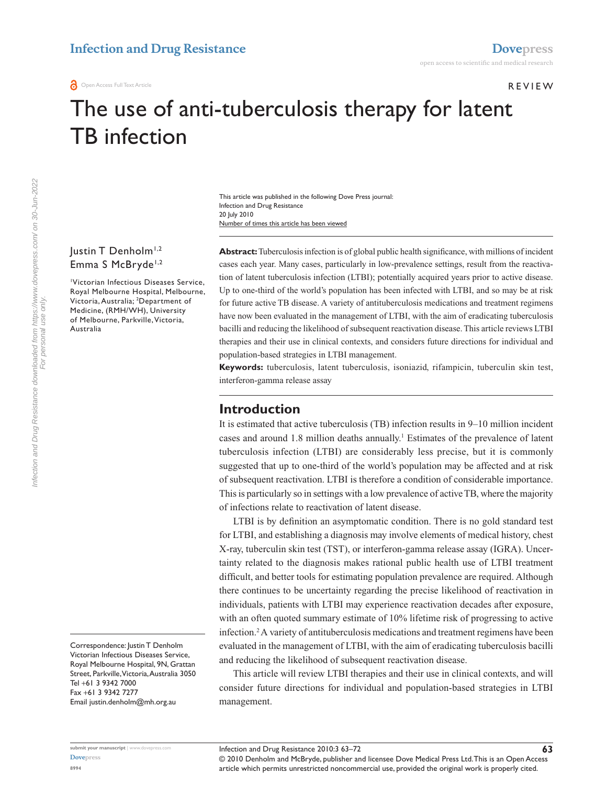# **Infection and Drug Resistance [Dovepress](www.dovepress.com)**

#### **REVIEW**

**63**

# The use of anti-tuberculosis therapy for latent TB infection

Number of times this article has been viewed This article was published in the following Dove Press journal: Infection and Drug Resistance 20 July 2010

## Justin T Denholm<sup>1,2</sup> Emma S McBryde<sup>1,2</sup>

1 Victorian Infectious Diseases Service, Royal Melbourne Hospital, Melbourne, Victoria, Australia; 2 Department of Medicine, (RMH/WH), University of Melbourne, Parkville, Victoria, Australia

Correspondence: Justin T Denholm Victorian Infectious Diseases Service, Royal Melbourne Hospital, 9N, Grattan Street, Parkville, Victoria, Australia 3050 Tel +61 3 9342 7000 Fax +61 3 9342 7277 Email justin.denholm@mh.org.au

**Abstract:** Tuberculosis infection is of global public health significance, with millions of incident cases each year. Many cases, particularly in low-prevalence settings, result from the reactivation of latent tuberculosis infection (LTBI); potentially acquired years prior to active disease. Up to one-third of the world's population has been infected with LTBI, and so may be at risk for future active TB disease. A variety of antituberculosis medications and treatment regimens have now been evaluated in the management of LTBI, with the aim of eradicating tuberculosis bacilli and reducing the likelihood of subsequent reactivation disease. This article reviews LTBI therapies and their use in clinical contexts, and considers future directions for individual and population-based strategies in LTBI management.

**Keywords:** tuberculosis, latent tuberculosis, isoniazid, rifampicin, tuberculin skin test, interferon-gamma release assay

## **Introduction**

It is estimated that active tuberculosis (TB) infection results in 9–10 million incident cases and around 1.8 million deaths annually.<sup>1</sup> Estimates of the prevalence of latent tuberculosis infection (LTBI) are considerably less precise, but it is commonly suggested that up to one-third of the world's population may be affected and at risk of subsequent reactivation. LTBI is therefore a condition of considerable importance. This is particularly so in settings with a low prevalence of active TB, where the majority of infections relate to reactivation of latent disease.

LTBI is by definition an asymptomatic condition. There is no gold standard test for LTBI, and establishing a diagnosis may involve elements of medical history, chest X-ray, tuberculin skin test (TST), or interferon-gamma release assay (IGRA). Uncertainty related to the diagnosis makes rational public health use of LTBI treatment difficult, and better tools for estimating population prevalence are required. Although there continues to be uncertainty regarding the precise likelihood of reactivation in individuals, patients with LTBI may experience reactivation decades after exposure, with an often quoted summary estimate of 10% lifetime risk of progressing to active infection.2 A variety of antituberculosis medications and treatment regimens have been evaluated in the management of LTBI, with the aim of eradicating tuberculosis bacilli and reducing the likelihood of subsequent reactivation disease.

This article will review LTBI therapies and their use in clinical contexts, and will consider future directions for individual and population-based strategies in LTBI management.

Infection and Drug Resistance 2010:3 63–72

© 2010 Denholm and McBryde, publisher and licensee Dove Medical Press Ltd. This is an Open Access article which permits unrestricted noncommercial use, provided the original work is properly cited.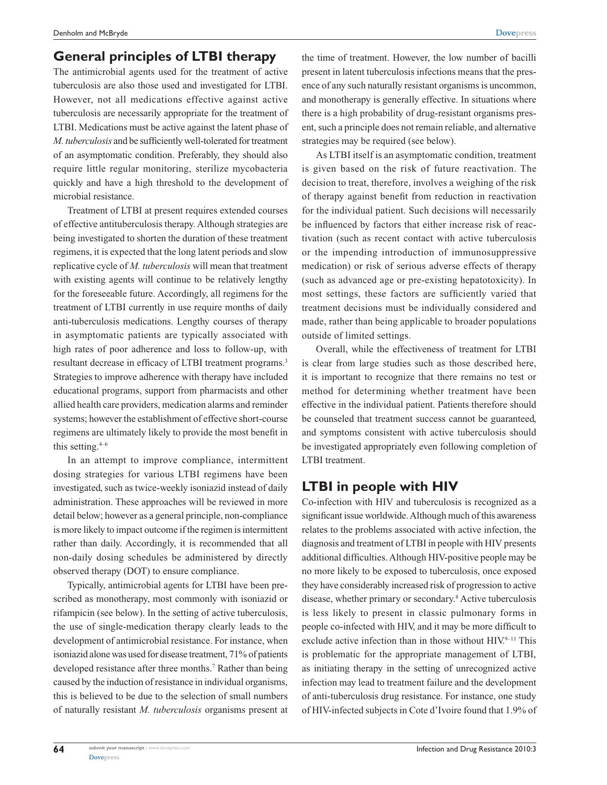## **General principles of LTBI therapy**

The antimicrobial agents used for the treatment of active tuberculosis are also those used and investigated for LTBI. However, not all medications effective against active tuberculosis are necessarily appropriate for the treatment of LTBI. Medications must be active against the latent phase of *M. tuberculosis* and be sufficiently well-tolerated for treatment of an asymptomatic condition. Preferably, they should also require little regular monitoring, sterilize mycobacteria quickly and have a high threshold to the development of microbial resistance.

Treatment of LTBI at present requires extended courses of effective antituberculosis therapy. Although strategies are being investigated to shorten the duration of these treatment regimens, it is expected that the long latent periods and slow replicative cycle of *M. tuberculosis* will mean that treatment with existing agents will continue to be relatively lengthy for the foreseeable future. Accordingly, all regimens for the treatment of LTBI currently in use require months of daily anti-tuberculosis medications. Lengthy courses of therapy in asymptomatic patients are typically associated with high rates of poor adherence and loss to follow-up, with resultant decrease in efficacy of LTBI treatment programs.<sup>3</sup> Strategies to improve adherence with therapy have included educational programs, support from pharmacists and other allied health care providers, medication alarms and reminder systems; however the establishment of effective short-course regimens are ultimately likely to provide the most benefit in this setting. $4-6$ 

In an attempt to improve compliance, intermittent dosing strategies for various LTBI regimens have been investigated, such as twice-weekly isoniazid instead of daily administration. These approaches will be reviewed in more detail below; however as a general principle, non-compliance is more likely to impact outcome if the regimen is intermittent rather than daily. Accordingly, it is recommended that all non-daily dosing schedules be administered by directly observed therapy (DOT) to ensure compliance.

Typically, antimicrobial agents for LTBI have been prescribed as monotherapy, most commonly with isoniazid or rifampicin (see below). In the setting of active tuberculosis, the use of single-medication therapy clearly leads to the development of antimicrobial resistance. For instance, when isoniazid alone was used for disease treatment, 71% of patients developed resistance after three months.<sup>7</sup> Rather than being caused by the induction of resistance in individual organisms, this is believed to be due to the selection of small numbers of naturally resistant *M. tuberculosis* organisms present at

the time of treatment. However, the low number of bacilli present in latent tuberculosis infections means that the presence of any such naturally resistant organisms is uncommon, and monotherapy is generally effective. In situations where there is a high probability of drug-resistant organisms present, such a principle does not remain reliable, and alternative strategies may be required (see below).

As LTBI itself is an asymptomatic condition, treatment is given based on the risk of future reactivation. The decision to treat, therefore, involves a weighing of the risk of therapy against benefit from reduction in reactivation for the individual patient. Such decisions will necessarily be influenced by factors that either increase risk of reactivation (such as recent contact with active tuberculosis or the impending introduction of immunosuppressive medication) or risk of serious adverse effects of therapy (such as advanced age or pre-existing hepatotoxicity). In most settings, these factors are sufficiently varied that treatment decisions must be individually considered and made, rather than being applicable to broader populations outside of limited settings.

Overall, while the effectiveness of treatment for LTBI is clear from large studies such as those described here, it is important to recognize that there remains no test or method for determining whether treatment have been effective in the individual patient. Patients therefore should be counseled that treatment success cannot be guaranteed, and symptoms consistent with active tuberculosis should be investigated appropriately even following completion of LTBI treatment.

# **LTBI in people with HIV**

Co-infection with HIV and tuberculosis is recognized as a significant issue worldwide. Although much of this awareness relates to the problems associated with active infection, the diagnosis and treatment of LTBI in people with HIV presents additional difficulties. Although HIV-positive people may be no more likely to be exposed to tuberculosis, once exposed they have considerably increased risk of progression to active disease, whether primary or secondary.8 Active tuberculosis is less likely to present in classic pulmonary forms in people co-infected with HIV, and it may be more difficult to exclude active infection than in those without  $HIV^{9-11}$ . This is problematic for the appropriate management of LTBI, as initiating therapy in the setting of unrecognized active infection may lead to treatment failure and the development of anti-tuberculosis drug resistance. For instance, one study of HIV-infected subjects in Cote d'Ivoire found that 1.9% of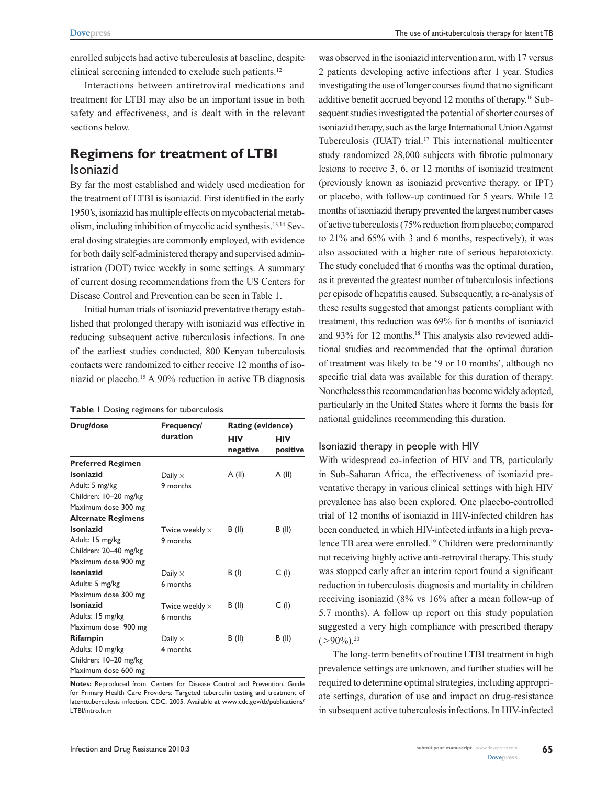enrolled subjects had active tuberculosis at baseline, despite clinical screening intended to exclude such patients.<sup>12</sup>

Interactions between antiretroviral medications and treatment for LTBI may also be an important issue in both safety and effectiveness, and is dealt with in the relevant sections below.

# **Regimens for treatment of LTBI** Isoniazid

By far the most established and widely used medication for the treatment of LTBI is isoniazid. First identified in the early 1950's, isoniazid has multiple effects on mycobacterial metabolism, including inhibition of mycolic acid synthesis.13,14 Several dosing strategies are commonly employed, with evidence for both daily self-administered therapy and supervised administration (DOT) twice weekly in some settings. A summary of current dosing recommendations from the US Centers for Disease Control and Prevention can be seen in Table 1.

Initial human trials of isoniazid preventative therapy established that prolonged therapy with isoniazid was effective in reducing subsequent active tuberculosis infections. In one of the earliest studies conducted, 800 Kenyan tuberculosis contacts were randomized to either receive 12 months of isoniazid or placebo.15 A 90% reduction in active TB diagnosis

#### **Table 1** Dosing regimens for tuberculosis

| Drug/dose                 | Frequency/<br>duration | <b>Rating (evidence)</b> |            |
|---------------------------|------------------------|--------------------------|------------|
|                           |                        | <b>HIV</b>               | <b>HIV</b> |
|                           |                        | negative                 | positive   |
| <b>Preferred Regimen</b>  |                        |                          |            |
| Isoniazid                 | Daily $\times$         | A (II)                   | A(II)      |
| Adult: 5 mg/kg            | 9 months               |                          |            |
| Children: 10-20 mg/kg     |                        |                          |            |
| Maximum dose 300 mg       |                        |                          |            |
| <b>Alternate Regimens</b> |                        |                          |            |
| Isoniazid                 | Twice weekly $\times$  | B (II)                   | B (II)     |
| Adult: 15 mg/kg           | 9 months               |                          |            |
| Children: 20-40 mg/kg     |                        |                          |            |
| Maximum dose 900 mg       |                        |                          |            |
| Isoniazid                 | Daily $\times$         | B (l)                    | C(1)       |
| Adults: 5 mg/kg           | 6 months               |                          |            |
| Maximum dose 300 mg       |                        |                          |            |
| Isoniazid                 | Twice weekly $\times$  | B (II)                   | C(1)       |
| Adults: 15 mg/kg          | 6 months               |                          |            |
| Maximum dose 900 mg       |                        |                          |            |
| Rifampin                  | Daily $\times$         | B (II)                   | B (II)     |
| Adults: 10 mg/kg          | 4 months               |                          |            |
| Children: 10-20 mg/kg     |                        |                          |            |
| Maximum dose 600 mg       |                        |                          |            |

**Notes:** Reproduced from: Centers for Disease Control and Prevention. Guide for Primary Health Care Providers: Targeted tuberculin testing and treatment of latenttuberculosis infection. CDC, 2005. Available at www.cdc.gov/tb/publications/ LTBI/intro.htm

was observed in the isoniazid intervention arm, with 17 versus 2 patients developing active infections after 1 year. Studies investigating the use of longer courses found that no significant additive benefit accrued beyond 12 months of therapy.16 Subsequent studies investigated the potential of shorter courses of isoniazid therapy, such as the large International Union Against Tuberculosis (IUAT) trial.17 This international multicenter study randomized 28,000 subjects with fibrotic pulmonary lesions to receive 3, 6, or 12 months of isoniazid treatment (previously known as isoniazid preventive therapy, or IPT) or placebo, with follow-up continued for 5 years. While 12 months of isoniazid therapy prevented the largest number cases of active tuberculosis (75% reduction from placebo; compared to 21% and 65% with 3 and 6 months, respectively), it was also associated with a higher rate of serious hepatotoxicty. The study concluded that 6 months was the optimal duration, as it prevented the greatest number of tuberculosis infections per episode of hepatitis caused. Subsequently, a re-analysis of these results suggested that amongst patients compliant with treatment, this reduction was 69% for 6 months of isoniazid and 93% for 12 months.<sup>18</sup> This analysis also reviewed additional studies and recommended that the optimal duration of treatment was likely to be '9 or 10 months', although no specific trial data was available for this duration of therapy. Nonetheless this recommendation has become widely adopted, particularly in the United States where it forms the basis for national guidelines recommending this duration.

## Isoniazid therapy in people with HIV

With widespread co-infection of HIV and TB, particularly in Sub-Saharan Africa, the effectiveness of isoniazid preventative therapy in various clinical settings with high HIV prevalence has also been explored. One placebo-controlled trial of 12 months of isoniazid in HIV-infected children has been conducted, in which HIV-infected infants in a high prevalence TB area were enrolled.<sup>19</sup> Children were predominantly not receiving highly active anti-retroviral therapy. This study was stopped early after an interim report found a significant reduction in tuberculosis diagnosis and mortality in children receiving isoniazid (8% vs 16% after a mean follow-up of 5.7 months). A follow up report on this study population suggested a very high compliance with prescribed therapy  $(>90\%)$ <sup>20</sup>

The long-term benefits of routine LTBI treatment in high prevalence settings are unknown, and further studies will be required to determine optimal strategies, including appropriate settings, duration of use and impact on drug-resistance in subsequent active tuberculosis infections. In HIV-infected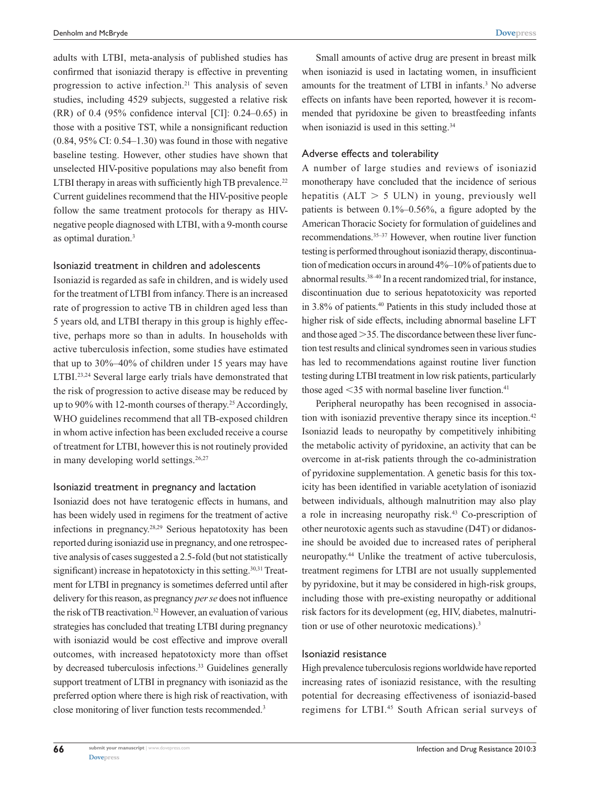adults with LTBI, meta-analysis of published studies has confirmed that isoniazid therapy is effective in preventing progression to active infection.21 This analysis of seven studies, including 4529 subjects, suggested a relative risk (RR) of 0.4 (95% confidence interval [CI]: 0.24–0.65) in those with a positive TST, while a nonsignificant reduction  $(0.84, 95\% \text{ CI: } 0.54-1.30)$  was found in those with negative baseline testing. However, other studies have shown that unselected HIV-positive populations may also benefit from LTBI therapy in areas with sufficiently high TB prevalence.<sup>22</sup> Current guidelines recommend that the HIV-positive people follow the same treatment protocols for therapy as HIVnegative people diagnosed with LTBI, with a 9-month course as optimal duration.3

#### Isoniazid treatment in children and adolescents

Isoniazid is regarded as safe in children, and is widely used for the treatment of LTBI from infancy. There is an increased rate of progression to active TB in children aged less than 5 years old, and LTBI therapy in this group is highly effective, perhaps more so than in adults. In households with active tuberculosis infection, some studies have estimated that up to 30%–40% of children under 15 years may have LTBI.<sup>23,24</sup> Several large early trials have demonstrated that the risk of progression to active disease may be reduced by up to 90% with 12-month courses of therapy.25 Accordingly, WHO guidelines recommend that all TB-exposed children in whom active infection has been excluded receive a course of treatment for LTBI, however this is not routinely provided in many developing world settings.<sup>26,27</sup>

#### Isoniazid treatment in pregnancy and lactation

Isoniazid does not have teratogenic effects in humans, and has been widely used in regimens for the treatment of active infections in pregnancy.28,29 Serious hepatotoxity has been reported during isoniazid use in pregnancy, and one retrospective analysis of cases suggested a 2.5-fold (but not statistically significant) increase in hepatotoxicty in this setting.<sup>30,31</sup> Treatment for LTBI in pregnancy is sometimes deferred until after delivery for this reason, as pregnancy *per se* does not influence the risk of TB reactivation.32 However, an evaluation of various strategies has concluded that treating LTBI during pregnancy with isoniazid would be cost effective and improve overall outcomes, with increased hepatotoxicty more than offset by decreased tuberculosis infections.<sup>33</sup> Guidelines generally support treatment of LTBI in pregnancy with isoniazid as the preferred option where there is high risk of reactivation, with close monitoring of liver function tests recommended.<sup>3</sup>

Small amounts of active drug are present in breast milk when isoniazid is used in lactating women, in insufficient amounts for the treatment of LTBI in infants.<sup>3</sup> No adverse effects on infants have been reported, however it is recommended that pyridoxine be given to breastfeeding infants when isoniazid is used in this setting.<sup>34</sup>

#### Adverse effects and tolerability

A number of large studies and reviews of isoniazid monotherapy have concluded that the incidence of serious hepatitis ( $ALT > 5$  ULN) in young, previously well patients is between 0.1%–0.56%, a figure adopted by the American Thoracic Society for formulation of guidelines and recommendations.35–37 However, when routine liver function testing is performed throughout isoniazid therapy, discontinuation of medication occurs in around 4%–10% of patients due to abnormal results.38–40 In a recent randomized trial, for instance, discontinuation due to serious hepatotoxicity was reported in 3.8% of patients.40 Patients in this study included those at higher risk of side effects, including abnormal baseline LFT and those aged  $>35$ . The discordance between these liver function test results and clinical syndromes seen in various studies has led to recommendations against routine liver function testing during LTBI treatment in low risk patients, particularly those aged  $\leq$ 35 with normal baseline liver function.<sup>41</sup>

Peripheral neuropathy has been recognised in association with isoniazid preventive therapy since its inception.<sup>42</sup> Isoniazid leads to neuropathy by competitively inhibiting the metabolic activity of pyridoxine, an activity that can be overcome in at-risk patients through the co-administration of pyridoxine supplementation. A genetic basis for this toxicity has been identified in variable acetylation of isoniazid between individuals, although malnutrition may also play a role in increasing neuropathy risk.<sup>43</sup> Co-prescription of other neurotoxic agents such as stavudine (D4T) or didanosine should be avoided due to increased rates of peripheral neuropathy.44 Unlike the treatment of active tuberculosis, treatment regimens for LTBI are not usually supplemented by pyridoxine, but it may be considered in high-risk groups, including those with pre-existing neuropathy or additional risk factors for its development (eg, HIV, diabetes, malnutrition or use of other neurotoxic medications).3

#### Isoniazid resistance

High prevalence tuberculosis regions worldwide have reported increasing rates of isoniazid resistance, with the resulting potential for decreasing effectiveness of isoniazid-based regimens for LTBI.45 South African serial surveys of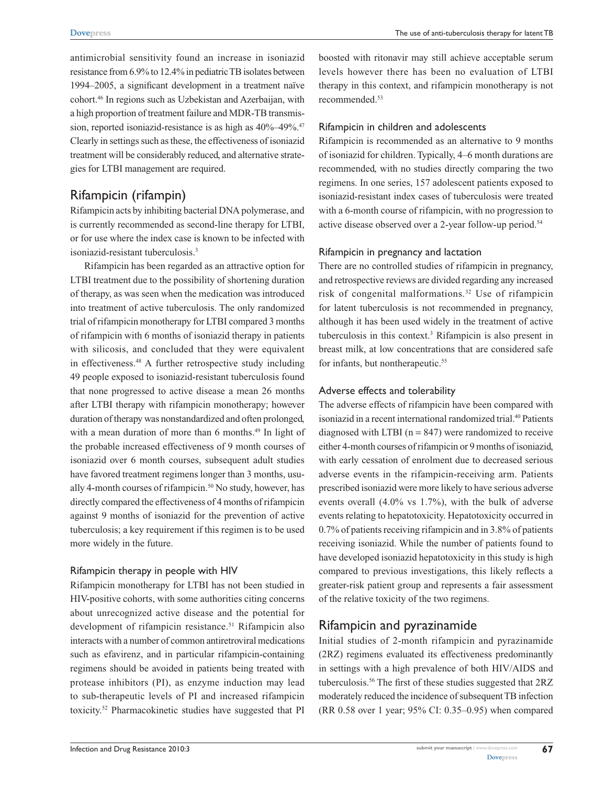antimicrobial sensitivity found an increase in isoniazid resistance from 6.9% to 12.4% in pediatric TB isolates between 1994–2005, a significant development in a treatment naïve cohort.46 In regions such as Uzbekistan and Azerbaijan, with a high proportion of treatment failure and MDR-TB transmission, reported isoniazid-resistance is as high as  $40\%$ –49%.<sup>47</sup> Clearly in settings such as these, the effectiveness of isoniazid treatment will be considerably reduced, and alternative strategies for LTBI management are required.

# Rifampicin (rifampin)

Rifampicin acts by inhibiting bacterial DNA polymerase, and is currently recommended as second-line therapy for LTBI, or for use where the index case is known to be infected with isoniazid-resistant tuberculosis.3

Rifampicin has been regarded as an attractive option for LTBI treatment due to the possibility of shortening duration of therapy, as was seen when the medication was introduced into treatment of active tuberculosis. The only randomized trial of rifampicin monotherapy for LTBI compared 3 months of rifampicin with 6 months of isoniazid therapy in patients with silicosis, and concluded that they were equivalent in effectiveness.48 A further retrospective study including 49 people exposed to isoniazid-resistant tuberculosis found that none progressed to active disease a mean 26 months after LTBI therapy with rifampicin monotherapy; however duration of therapy was nonstandardized and often prolonged, with a mean duration of more than 6 months.<sup>49</sup> In light of the probable increased effectiveness of 9 month courses of isoniazid over 6 month courses, subsequent adult studies have favored treatment regimens longer than 3 months, usually 4-month courses of rifampicin.<sup>50</sup> No study, however, has directly compared the effectiveness of 4 months of rifampicin against 9 months of isoniazid for the prevention of active tuberculosis; a key requirement if this regimen is to be used more widely in the future.

#### Rifampicin therapy in people with HIV

Rifampicin monotherapy for LTBI has not been studied in HIV-positive cohorts, with some authorities citing concerns about unrecognized active disease and the potential for development of rifampicin resistance.<sup>51</sup> Rifampicin also interacts with a number of common antiretroviral medications such as efavirenz, and in particular rifampicin-containing regimens should be avoided in patients being treated with protease inhibitors (PI), as enzyme induction may lead to sub-therapeutic levels of PI and increased rifampicin toxicity.52 Pharmacokinetic studies have suggested that PI

boosted with ritonavir may still achieve acceptable serum levels however there has been no evaluation of LTBI therapy in this context, and rifampicin monotherapy is not recommended.53

#### Rifampicin in children and adolescents

Rifampicin is recommended as an alternative to 9 months of isoniazid for children. Typically, 4–6 month durations are recommended, with no studies directly comparing the two regimens. In one series, 157 adolescent patients exposed to isoniazid-resistant index cases of tuberculosis were treated with a 6-month course of rifampicin, with no progression to active disease observed over a 2-year follow-up period.<sup>54</sup>

## Rifampicin in pregnancy and lactation

There are no controlled studies of rifampicin in pregnancy, and retrospective reviews are divided regarding any increased risk of congenital malformations.32 Use of rifampicin for latent tuberculosis is not recommended in pregnancy, although it has been used widely in the treatment of active tuberculosis in this context.3 Rifampicin is also present in breast milk, at low concentrations that are considered safe for infants, but nontherapeutic.<sup>55</sup>

## Adverse effects and tolerability

The adverse effects of rifampicin have been compared with isoniazid in a recent international randomized trial.<sup>40</sup> Patients diagnosed with LTBI  $(n = 847)$  were randomized to receive either 4-month courses of rifampicin or 9 months of isoniazid, with early cessation of enrolment due to decreased serious adverse events in the rifampicin-receiving arm. Patients prescribed isoniazid were more likely to have serious adverse events overall (4.0% vs 1.7%), with the bulk of adverse events relating to hepatotoxicity. Hepatotoxicity occurred in 0.7% of patients receiving rifampicin and in 3.8% of patients receiving isoniazid. While the number of patients found to have developed isoniazid hepatotoxicity in this study is high compared to previous investigations, this likely reflects a greater-risk patient group and represents a fair assessment of the relative toxicity of the two regimens.

# Rifampicin and pyrazinamide

Initial studies of 2-month rifampicin and pyrazinamide (2RZ) regimens evaluated its effectiveness predominantly in settings with a high prevalence of both HIV/AIDS and tuberculosis.56 The first of these studies suggested that 2RZ moderately reduced the incidence of subsequent TB infection (RR 0.58 over 1 year; 95% CI: 0.35–0.95) when compared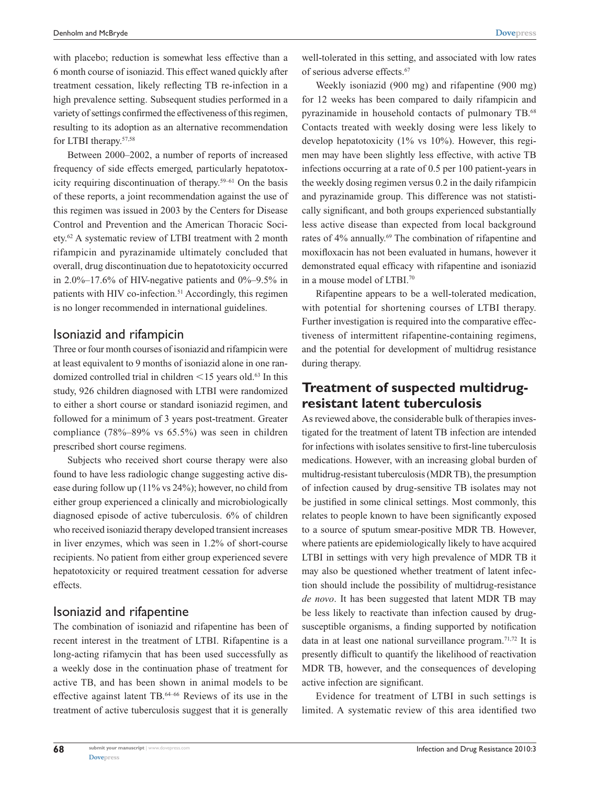**[Dovepress](www.dovepress.com)**

with placebo; reduction is somewhat less effective than a 6 month course of isoniazid. This effect waned quickly after treatment cessation, likely reflecting TB re-infection in a high prevalence setting. Subsequent studies performed in a variety of settings confirmed the effectiveness of this regimen, resulting to its adoption as an alternative recommendation for LTBI therapy.<sup>57,58</sup>

Between 2000–2002, a number of reports of increased frequency of side effects emerged, particularly hepatotoxicity requiring discontinuation of therapy.59–61 On the basis of these reports, a joint recommendation against the use of this regimen was issued in 2003 by the Centers for Disease Control and Prevention and the American Thoracic Society.62 A systematic review of LTBI treatment with 2 month rifampicin and pyrazinamide ultimately concluded that overall, drug discontinuation due to hepatotoxicity occurred in 2.0%–17.6% of HIV-negative patients and  $0\%$ –9.5% in patients with HIV co-infection.<sup>51</sup> Accordingly, this regimen is no longer recommended in international guidelines.

## Isoniazid and rifampicin

Three or four month courses of isoniazid and rifampicin were at least equivalent to 9 months of isoniazid alone in one randomized controlled trial in children  $\leq$  15 years old.<sup>63</sup> In this study, 926 children diagnosed with LTBI were randomized to either a short course or standard isoniazid regimen, and followed for a minimum of 3 years post-treatment. Greater compliance (78%–89% vs 65.5%) was seen in children prescribed short course regimens.

Subjects who received short course therapy were also found to have less radiologic change suggesting active disease during follow up (11% vs 24%); however, no child from either group experienced a clinically and microbiologically diagnosed episode of active tuberculosis. 6% of children who received isoniazid therapy developed transient increases in liver enzymes, which was seen in 1.2% of short-course recipients. No patient from either group experienced severe hepatotoxicity or required treatment cessation for adverse effects.

# Isoniazid and rifapentine

The combination of isoniazid and rifapentine has been of recent interest in the treatment of LTBI. Rifapentine is a long-acting rifamycin that has been used successfully as a weekly dose in the continuation phase of treatment for active TB, and has been shown in animal models to be effective against latent TB.64–66 Reviews of its use in the treatment of active tuberculosis suggest that it is generally

Weekly isoniazid (900 mg) and rifapentine (900 mg) for 12 weeks has been compared to daily rifampicin and pyrazinamide in household contacts of pulmonary TB.<sup>68</sup> Contacts treated with weekly dosing were less likely to develop hepatotoxicity (1% vs 10%). However, this regimen may have been slightly less effective, with active TB infections occurring at a rate of 0.5 per 100 patient-years in the weekly dosing regimen versus 0.2 in the daily rifampicin and pyrazinamide group. This difference was not statistically significant, and both groups experienced substantially less active disease than expected from local background rates of 4% annually.<sup>69</sup> The combination of rifapentine and moxifloxacin has not been evaluated in humans, however it demonstrated equal efficacy with rifapentine and isoniazid in a mouse model of LTBI.70

Rifapentine appears to be a well-tolerated medication, with potential for shortening courses of LTBI therapy. Further investigation is required into the comparative effectiveness of intermittent rifapentine-containing regimens, and the potential for development of multidrug resistance during therapy.

# **Treatment of suspected multidrugresistant latent tuberculosis**

As reviewed above, the considerable bulk of therapies investigated for the treatment of latent TB infection are intended for infections with isolates sensitive to first-line tuberculosis medications. However, with an increasing global burden of multidrug-resistant tuberculosis (MDR TB), the presumption of infection caused by drug-sensitive TB isolates may not be justified in some clinical settings. Most commonly, this relates to people known to have been significantly exposed to a source of sputum smear-positive MDR TB. However, where patients are epidemiologically likely to have acquired LTBI in settings with very high prevalence of MDR TB it may also be questioned whether treatment of latent infection should include the possibility of multidrug-resistance *de novo*. It has been suggested that latent MDR TB may be less likely to reactivate than infection caused by drugsusceptible organisms, a finding supported by notification data in at least one national surveillance program.71,72 It is presently difficult to quantify the likelihood of reactivation MDR TB, however, and the consequences of developing active infection are significant.

Evidence for treatment of LTBI in such settings is limited. A systematic review of this area identified two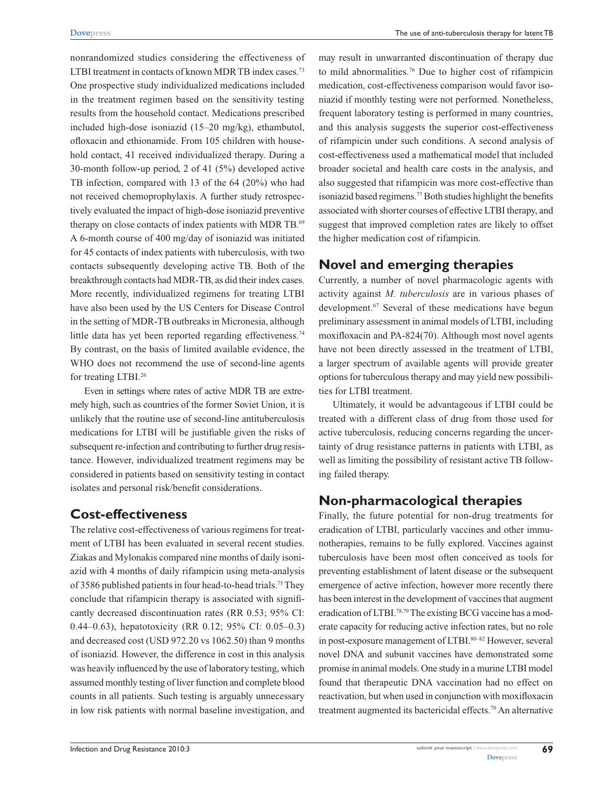nonrandomized studies considering the effectiveness of LTBI treatment in contacts of known MDR TB index cases.<sup>73</sup> One prospective study individualized medications included in the treatment regimen based on the sensitivity testing results from the household contact. Medications prescribed included high-dose isoniazid (15–20 mg/kg), ethambutol, ofloxacin and ethionamide. From 105 children with household contact, 41 received individualized therapy. During a 30-month follow-up period, 2 of 41 (5%) developed active TB infection, compared with 13 of the 64 (20%) who had not received chemoprophylaxis. A further study retrospectively evaluated the impact of high-dose isoniazid preventive therapy on close contacts of index patients with MDR TB.<sup>69</sup> A 6-month course of 400 mg/day of isoniazid was initiated for 45 contacts of index patients with tuberculosis, with two contacts subsequently developing active TB. Both of the breakthrough contacts had MDR-TB, as did their index cases. More recently, individualized regimens for treating LTBI have also been used by the US Centers for Disease Control in the setting of MDR-TB outbreaks in Micronesia, although little data has yet been reported regarding effectiveness.<sup>74</sup> By contrast, on the basis of limited available evidence, the WHO does not recommend the use of second-line agents for treating LTBI.26

Even in settings where rates of active MDR TB are extremely high, such as countries of the former Soviet Union, it is unlikely that the routine use of second-line antituberculosis medications for LTBI will be justifiable given the risks of subsequent re-infection and contributing to further drug resistance. However, individualized treatment regimens may be considered in patients based on sensitivity testing in contact isolates and personal risk/benefit considerations.

# **Cost-effectiveness**

The relative cost-effectiveness of various regimens for treatment of LTBI has been evaluated in several recent studies. Ziakas and Mylonakis compared nine months of daily isoniazid with 4 months of daily rifampicin using meta-analysis of 3586 published patients in four head-to-head trials.75 They conclude that rifampicin therapy is associated with significantly decreased discontinuation rates (RR 0.53; 95% CI: 0.44–0.63), hepatotoxicity (RR 0.12; 95% CI: 0.05–0.3) and decreased cost (USD 972.20 vs 1062.50) than 9 months of isoniazid. However, the difference in cost in this analysis was heavily influenced by the use of laboratory testing, which assumed monthly testing of liver function and complete blood counts in all patients. Such testing is arguably unnecessary in low risk patients with normal baseline investigation, and may result in unwarranted discontinuation of therapy due to mild abnormalities.76 Due to higher cost of rifampicin medication, cost-effectiveness comparison would favor isoniazid if monthly testing were not performed. Nonetheless, frequent laboratory testing is performed in many countries, and this analysis suggests the superior cost-effectiveness of rifampicin under such conditions. A second analysis of cost-effectiveness used a mathematical model that included broader societal and health care costs in the analysis, and also suggested that rifampicin was more cost-effective than isoniazid based regimens.<sup>77</sup> Both studies highlight the benefits associated with shorter courses of effective LTBI therapy, and suggest that improved completion rates are likely to offset the higher medication cost of rifampicin.

# **Novel and emerging therapies**

Currently, a number of novel pharmacologic agents with activity against *M. tuberculosis* are in various phases of development.<sup>67</sup> Several of these medications have begun preliminary assessment in animal models of LTBI, including moxifloxacin and PA-824(70). Although most novel agents have not been directly assessed in the treatment of LTBI, a larger spectrum of available agents will provide greater options for tuberculous therapy and may yield new possibilities for LTBI treatment.

Ultimately, it would be advantageous if LTBI could be treated with a different class of drug from those used for active tuberculosis, reducing concerns regarding the uncertainty of drug resistance patterns in patients with LTBI, as well as limiting the possibility of resistant active TB following failed therapy.

# **Non-pharmacological therapies**

Finally, the future potential for non-drug treatments for eradication of LTBI, particularly vaccines and other immunotherapies, remains to be fully explored. Vaccines against tuberculosis have been most often conceived as tools for preventing establishment of latent disease or the subsequent emergence of active infection, however more recently there has been interest in the development of vaccines that augment eradication of LTBI.<sup>78,79</sup> The existing BCG vaccine has a moderate capacity for reducing active infection rates, but no role in post-exposure management of LTBI.<sup>80–82</sup> However, several novel DNA and subunit vaccines have demonstrated some promise in animal models. One study in a murine LTBI model found that therapeutic DNA vaccination had no effect on reactivation, but when used in conjunction with moxifloxacin treatment augmented its bactericidal effects.<sup>70</sup> An alternative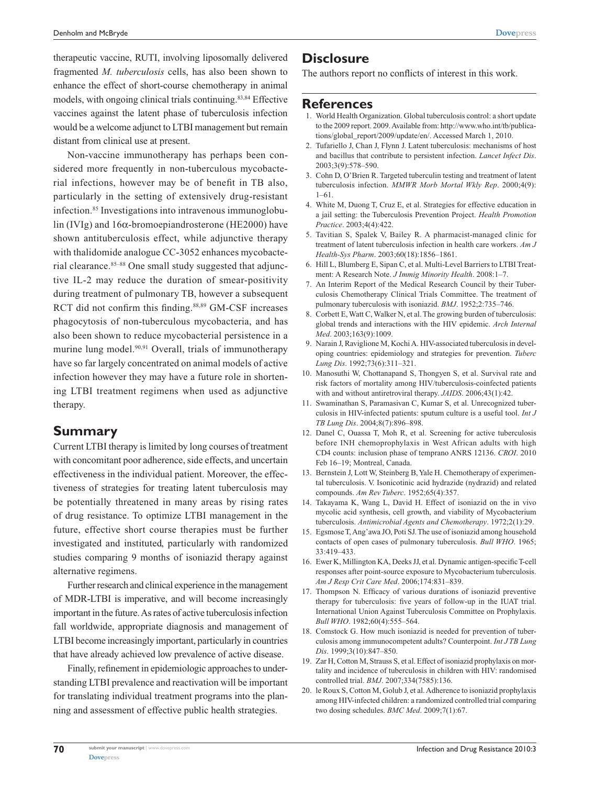therapeutic vaccine, RUTI, involving liposomally delivered fragmented *M. tuberculosis* cells, has also been shown to enhance the effect of short-course chemotherapy in animal models, with ongoing clinical trials continuing.<sup>83,84</sup> Effective vaccines against the latent phase of tuberculosis infection would be a welcome adjunct to LTBI management but remain distant from clinical use at present.

Non-vaccine immunotherapy has perhaps been considered more frequently in non-tuberculous mycobacterial infections, however may be of benefit in TB also, particularly in the setting of extensively drug-resistant infection.<sup>85</sup> Investigations into intravenous immunoglobulin (IVIg) and 16α-bromoepiandrosterone (HE2000) have shown antituberculosis effect, while adjunctive therapy with thalidomide analogue CC-3052 enhances mycobacterial clearance.<sup>85-88</sup> One small study suggested that adjunctive IL-2 may reduce the duration of smear-positivity during treatment of pulmonary TB, however a subsequent RCT did not confirm this finding.<sup>88,89</sup> GM-CSF increases phagocytosis of non-tuberculous mycobacteria, and has also been shown to reduce mycobacterial persistence in a murine lung model.<sup>90,91</sup> Overall, trials of immunotherapy have so far largely concentrated on animal models of active infection however they may have a future role in shortening LTBI treatment regimens when used as adjunctive therapy.

## **Summary**

Current LTBI therapy is limited by long courses of treatment with concomitant poor adherence, side effects, and uncertain effectiveness in the individual patient. Moreover, the effectiveness of strategies for treating latent tuberculosis may be potentially threatened in many areas by rising rates of drug resistance. To optimize LTBI management in the future, effective short course therapies must be further investigated and instituted, particularly with randomized studies comparing 9 months of isoniazid therapy against alternative regimens.

Further research and clinical experience in the management of MDR-LTBI is imperative, and will become increasingly important in the future. As rates of active tuberculosis infection fall worldwide, appropriate diagnosis and management of LTBI become increasingly important, particularly in countries that have already achieved low prevalence of active disease.

Finally, refinement in epidemiologic approaches to understanding LTBI prevalence and reactivation will be important for translating individual treatment programs into the planning and assessment of effective public health strategies.

## **Disclosure**

The authors report no conflicts of interest in this work.

## **References**

- 1. World Health Organization. Global tuberculosis control: a short update to the 2009 report. 2009. Available from: http://www.who.int/tb/publications/global\_report/2009/update/en/. Accessed March 1, 2010.
- 2. Tufariello J, Chan J, Flynn J. Latent tuberculosis: mechanisms of host and bacillus that contribute to persistent infection. *Lancet Infect Dis*. 2003;3(9):578–590.
- 3. Cohn D, O'Brien R. Targeted tuberculin testing and treatment of latent tuberculosis infection. *MMWR Morb Mortal Wkly Rep*. 2000;4(9): 1–61.
- 4. White M, Duong T, Cruz E, et al. Strategies for effective education in a jail setting: the Tuberculosis Prevention Project. *Health Promotion Practice*. 2003;4(4):422.
- 5. Tavitian S, Spalek V, Bailey R. A pharmacist-managed clinic for treatment of latent tuberculosis infection in health care workers. *Am J Health-Sys Pharm*. 2003;60(18):1856–1861.
- 6. Hill L, Blumberg E, Sipan C, et al. Multi-Level Barriers to LTBI Treatment: A Research Note. *J Immig Minority Health*. 2008:1–7.
- 7. An Interim Report of the Medical Research Council by their Tuberculosis Chemotherapy Clinical Trials Committee. The treatment of pulmonary tuberculosis with isoniazid. *BMJ*. 1952;2:735–746.
- 8. Corbett E, Watt C, Walker N, et al. The growing burden of tuberculosis: global trends and interactions with the HIV epidemic. *Arch Internal Med*. 2003;163(9):1009.
- 9. Narain J, Raviglione M, Kochi A. HIV-associated tuberculosis in developing countries: epidemiology and strategies for prevention. *Tuberc Lung Dis*. 1992;73(6):311–321.
- 10. Manosuthi W, Chottanapand S, Thongyen S, et al. Survival rate and risk factors of mortality among HIV/tuberculosis-coinfected patients with and without antiretroviral therapy. *JAIDS*. 2006;43(1):42.
- 11. Swaminathan S, Paramasivan C, Kumar S, et al. Unrecognized tuberculosis in HIV-infected patients: sputum culture is a useful tool. *Int J TB Lung Dis*. 2004;8(7):896–898.
- 12. Danel C, Ouassa T, Moh R, et al. Screening for active tuberculosis before INH chemoprophylaxis in West African adults with high CD4 counts: inclusion phase of temprano ANRS 12136. *CROI*. 2010 Feb 16–19; Montreal, Canada.
- 13. Bernstein J, Lott W, Steinberg B, Yale H. Chemotherapy of experimental tuberculosis. V. Isonicotinic acid hydrazide (nydrazid) and related compounds. *Am Rev Tuberc*. 1952;65(4):357.
- 14. Takayama K, Wang L, David H. Effect of isoniazid on the in vivo mycolic acid synthesis, cell growth, and viability of Mycobacterium tuberculosis. *Antimicrobial Agents and Chemotherapy*. 1972;2(1):29.
- 15. Egsmose T, Ang'awa JO, Poti SJ. The use of isoniazid among household contacts of open cases of pulmonary tuberculosis. *Bull WHO*. 1965; 33:419–433.
- 16. Ewer K, Millington KA, Deeks JJ, et al. Dynamic antigen-specific T-cell responses after point-source exposure to Mycobacterium tuberculosis. *Am J Resp Crit Care Med*. 2006;174:831–839.
- 17. Thompson N. Efficacy of various durations of isoniazid preventive therapy for tuberculosis: five years of follow-up in the IUAT trial. International Union Against Tuberculosis Committee on Prophylaxis. *Bull WHO*. 1982;60(4):555–564.
- 18. Comstock G. How much isoniazid is needed for prevention of tuberculosis among immunocompetent adults? Counterpoint. *Int J TB Lung Dis*. 1999;3(10):847–850.
- 19. Zar H, Cotton M, Strauss S, et al. Effect of isoniazid prophylaxis on mortality and incidence of tuberculosis in children with HIV: randomised controlled trial. *BMJ*. 2007;334(7585):136.
- 20. le Roux S, Cotton M, Golub J, et al. Adherence to isoniazid prophylaxis among HIV-infected children: a randomized controlled trial comparing two dosing schedules. *BMC Med*. 2009;7(1):67.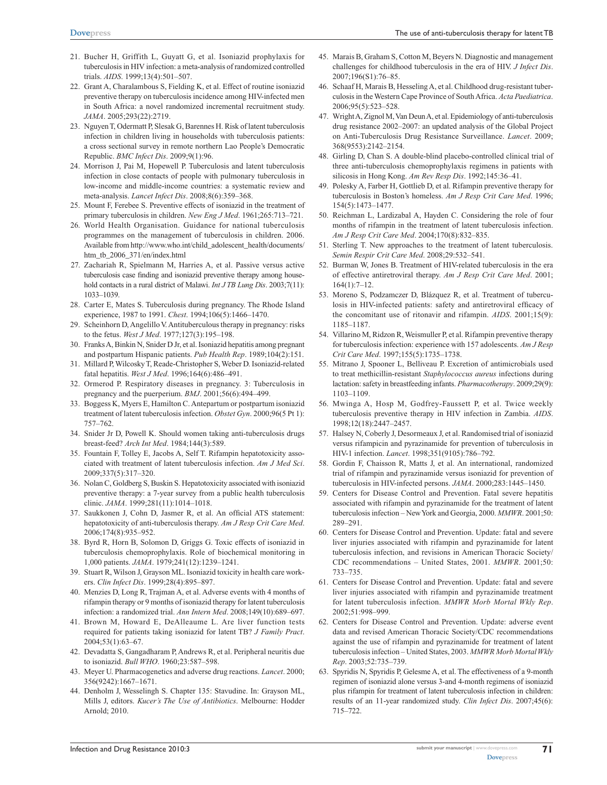- 21. Bucher H, Griffith L, Guyatt G, et al. Isoniazid prophylaxis for tuberculosis in HIV infection: a meta-analysis of randomized controlled trials. *AIDS*. 1999;13(4):501–507.
- 22. Grant A, Charalambous S, Fielding K, et al. Effect of routine isoniazid preventive therapy on tuberculosis incidence among HIV-infected men in South Africa: a novel randomized incremental recruitment study. *JAMA*. 2005;293(22):2719.
- 23. Nguyen T, Odermatt P, Slesak G, Barennes H. Risk of latent tuberculosis infection in children living in households with tuberculosis patients: a cross sectional survey in remote northern Lao People's Democratic Republic. *BMC Infect Dis*. 2009;9(1):96.
- 24. Morrison J, Pai M, Hopewell P. Tuberculosis and latent tuberculosis infection in close contacts of people with pulmonary tuberculosis in low-income and middle-income countries: a systematic review and meta-analysis. *Lancet Infect Dis*. 2008;8(6):359–368.
- 25. Mount F, Ferebee S. Preventive effects of isoniazid in the treatment of primary tuberculosis in children. *New Eng J Med*. 1961;265:713–721.
- 26. World Health Organisation. Guidance for national tuberculosis programmes on the management of tuberculosis in children. 2006. Available from http://www.who.int/child\_adolescent\_health/documents/ htm\_tb\_2006\_371/en/index.html
- 27. Zachariah R, Spielmann M, Harries A, et al. Passive versus active tuberculosis case finding and isoniazid preventive therapy among household contacts in a rural district of Malawi. *Int J TB Lung Dis*. 2003;7(11): 1033–1039.
- 28. Carter E, Mates S. Tuberculosis during pregnancy. The Rhode Island experience, 1987 to 1991. *Chest*. 1994;106(5):1466–1470.
- 29. Scheinhorn D, Angelillo V. Antituberculous therapy in pregnancy: risks to the fetus. *West J Med*. 1977;127(3):195–198.
- 30. Franks A, Binkin N, Snider D Jr, et al. Isoniazid hepatitis among pregnant and postpartum Hispanic patients. *Pub Health Rep*. 1989;104(2):151.
- 31. Millard P, Wilcosky T, Reade-Christopher S, Weber D. Isoniazid-related fatal hepatitis. *West J Med*. 1996;164(6):486–491.
- 32. Ormerod P. Respiratory diseases in pregnancy. 3: Tuberculosis in pregnancy and the puerperium. *BMJ*. 2001;56(6):494–499.
- 33. Boggess K, Myers E, Hamilton C. Antepartum or postpartum isoniazid treatment of latent tuberculosis infection. *Obstet Gyn*. 2000;96(5 Pt 1): 757–762.
- 34. Snider Jr D, Powell K. Should women taking anti-tuberculosis drugs breast-feed? *Arch Int Med*. 1984;144(3):589.
- 35. Fountain F, Tolley E, Jacobs A, Self T. Rifampin hepatotoxicity associated with treatment of latent tuberculosis infection. *Am J Med Sci*. 2009;337(5):317–320.
- 36. Nolan C, Goldberg S, Buskin S. Hepatotoxicity associated with isoniazid preventive therapy: a 7-year survey from a public health tuberculosis clinic. *JAMA*. 1999;281(11):1014–1018.
- 37. Saukkonen J, Cohn D, Jasmer R, et al. An official ATS statement: hepatotoxicity of anti-tuberculosis therapy. *Am J Resp Crit Care Med*. 2006;174(8):935–952.
- 38. Byrd R, Horn B, Solomon D, Griggs G. Toxic effects of isoniazid in tuberculosis chemoprophylaxis. Role of biochemical monitoring in 1,000 patients. *JAMA*. 1979;241(12):1239–1241.
- 39. Stuart R, Wilson J, Grayson ML. Isoniazid toxicity in health care workers. *Clin Infect Dis*. 1999;28(4):895–897.
- 40. Menzies D, Long R, Trajman A, et al. Adverse events with 4 months of rifampin therapy or 9 months of isoniazid therapy for latent tuberculosis infection: a randomized trial. *Ann Intern Med*. 2008;149(10):689–697.
- 41. Brown M, Howard E, DeAlleaume L. Are liver function tests required for patients taking isoniazid for latent TB? *J Family Pract*. 2004;53(1):63–67.
- 42. Devadatta S, Gangadharam P, Andrews R, et al. Peripheral neuritis due to isoniazid. *Bull WHO*. 1960;23:587–598.
- 43. Meyer U. Pharmacogenetics and adverse drug reactions. *Lancet*. 2000; 356(9242):1667–1671.
- 44. Denholm J, Wesselingh S. Chapter 135: Stavudine. In: Grayson ML, Mills J, editors. *Kucer's The Use of Antibiotics*. Melbourne: Hodder Arnold; 2010.
- 45. Marais B, Graham S, Cotton M, Beyers N. Diagnostic and management challenges for childhood tuberculosis in the era of HIV. *J Infect Dis*. 2007;196(S1):76–85.
- 46. Schaaf H, Marais B, Hesseling A, et al. Childhood drug-resistant tuberculosis in the Western Cape Province of South Africa. *Acta Paediatrica*. 2006;95(5):523–528.
- 47. Wright A, Zignol M, Van Deun A, et al. Epidemiology of anti-tuberculosis drug resistance 2002–2007: an updated analysis of the Global Project on Anti-Tuberculosis Drug Resistance Surveillance. *Lancet*. 2009; 368(9553):2142–2154.
- 48. Girling D, Chan S. A double-blind placebo-controlled clinical trial of three anti-tuberculosis chemoprophylaxis regimens in patients with silicosis in Hong Kong. *Am Rev Resp Dis*. 1992;145:36–41.
- 49. Polesky A, Farber H, Gottlieb D, et al. Rifampin preventive therapy for tuberculosis in Boston's homeless. *Am J Resp Crit Care Med*. 1996; 154(5):1473–1477.
- 50. Reichman L, Lardizabal A, Hayden C. Considering the role of four months of rifampin in the treatment of latent tuberculosis infection. *Am J Resp Crit Care Med*. 2004;170(8):832–835.
- 51. Sterling T. New approaches to the treatment of latent tuberculosis. *Semin Respir Crit Care Med*. 2008;29:532–541.
- 52. Burman W, Jones B. Treatment of HIV-related tuberculosis in the era of effective antiretroviral therapy. *Am J Resp Crit Care Med*. 2001; 164(1):7–12.
- 53. Moreno S, Podzamczer D, Blázquez R, et al. Treatment of tuberculosis in HIV-infected patients: safety and antiretroviral efficacy of the concomitant use of ritonavir and rifampin. *AIDS*. 2001;15(9): 1185–1187.
- 54. Villarino M, Ridzon R, Weismuller P, et al. Rifampin preventive therapy for tuberculosis infection: experience with 157 adolescents. *Am J Resp Crit Care Med*. 1997;155(5):1735–1738.
- 55. Mitrano J, Spooner L, Belliveau P. Excretion of antimicrobials used to treat methicillin-resistant *Staphylococcus aureus* infections during lactation: safety in breastfeeding infants. *Pharmacotherapy*. 2009;29(9): 1103–1109.
- 56. Mwinga A, Hosp M, Godfrey-Faussett P, et al. Twice weekly tuberculosis preventive therapy in HIV infection in Zambia. *AIDS*. 1998;12(18):2447–2457.
- 57. Halsey N, Coberly J, Desormeaux J, et al. Randomised trial of isoniazid versus rifampicin and pyrazinamide for prevention of tuberculosis in HIV-1 infection. *Lancet*. 1998;351(9105):786–792.
- 58. Gordin F, Chaisson R, Matts J, et al. An international, randomized trial of rifampin and pyrazinamide versus isoniazid for prevention of tuberculosis in HIV-infected persons. *JAMA*. 2000;283:1445–1450.
- 59. Centers for Disease Control and Prevention. Fatal severe hepatitis associated with rifampin and pyrazinamide for the treatment of latent tuberculosis infection – New York and Georgia, 2000. *MMWR*. 2001;50: 289–291.
- 60. Centers for Disease Control and Prevention. Update: fatal and severe liver injuries associated with rifampin and pyrazinamide for latent tuberculosis infection, and revisions in American Thoracic Society/ CDC recommendations – United States, 2001. *MMWR*. 2001;50: 733–735.
- 61. Centers for Disease Control and Prevention. Update: fatal and severe liver injuries associated with rifampin and pyrazinamide treatment for latent tuberculosis infection. *MMWR Morb Mortal Wkly Rep*. 2002;51:998–999.
- 62. Centers for Disease Control and Prevention. Update: adverse event data and revised American Thoracic Society/CDC recommendations against the use of rifampin and pyrazinamide for treatment of latent tuberculosis infection – United States, 2003. *MMWR Morb Mortal Wkly Rep*. 2003;52:735–739.
- 63. Spyridis N, Spyridis P, Gelesme A, et al. The effectiveness of a 9-month regimen of isoniazid alone versus 3-and 4-month regimens of isoniazid plus rifampin for treatment of latent tuberculosis infection in children: results of an 11-year randomized study. *Clin Infect Dis*. 2007;45(6): 715–722.